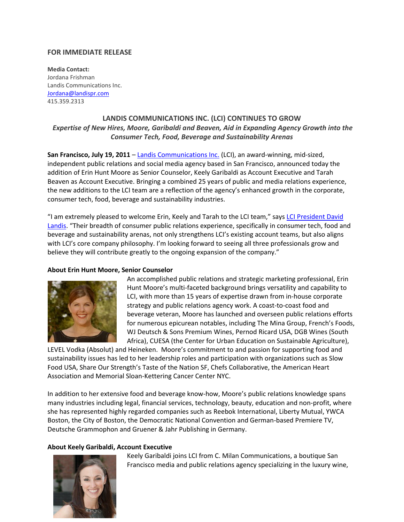## **FOR IMMEDIATE RELEASE**

**Media Contact:** Jordana Frishman Landis Communications Inc. [Jordana@landispr.com](mailto:Jordana@landispr.com) 415.359.2313

# **LANDIS COMMUNICATIONS INC. (LCI) CONTINUES TO GROW** *Expertise of New Hires, Moore, Garibaldi and Beaven, Aid in Expanding Agency Growth into the Consumer Tech, Food, Beverage and Sustainability Arenas*

**San Francisco, July 19, 2011** – [Landis Communications Inc.](http://www.landispr.com/) (LCI), an award-winning, mid-sized, independent public relations and social media agency based in San Francisco, announced today the addition of Erin Hunt Moore as Senior Counselor, Keely Garibaldi as Account Executive and Tarah Beaven as Account Executive. Bringing a combined 25 years of public and media relations experience, the new additions to the LCI team are a reflection of the agency's enhanced growth in the corporate, consumer tech, food, beverage and sustainability industries.

"I am extremely pleased to welcome Erin, Keely and Tarah to the LCI team," says [LCI President David](http://www.landispr.com/about/bios/david.htm)  [Landis](http://www.landispr.com/about/bios/david.htm). "Their breadth of consumer public relations experience, specifically in consumer tech, food and beverage and sustainability arenas, not only strengthens LCI's existing account teams, but also aligns with LCI's core company philosophy. I'm looking forward to seeing all three professionals grow and believe they will contribute greatly to the ongoing expansion of the company."

## **About Erin Hunt Moore, Senior Counselor**



An accomplished public relations and strategic marketing professional, Erin Hunt Moore's multi-faceted background brings versatility and capability to LCI, with more than 15 years of expertise drawn from in-house corporate strategy and public relations agency work. A coast-to-coast food and beverage veteran, Moore has launched and overseen public relations efforts for numerous epicurean notables, including The Mina Group, French's Foods, WJ Deutsch & Sons Premium Wines, Pernod Ricard USA, DGB Wines (South Africa), CUESA (the Center for Urban Education on Sustainable Agriculture),

LEVEL Vodka (Absolut) and Heineken. Moore's commitment to and passion for supporting food and sustainability issues has led to her leadership roles and participation with organizations such as Slow Food USA, Share Our Strength's Taste of the Nation SF, Chefs Collaborative, the American Heart Association and Memorial Sloan-Kettering Cancer Center NYC.

In addition to her extensive food and beverage know-how, Moore's public relations knowledge spans many industries including legal, financial services, technology, beauty, education and non-profit, where she has represented highly regarded companies such as Reebok International, Liberty Mutual, YWCA Boston, the City of Boston, the Democratic National Convention and German-based Premiere TV, Deutsche Grammophon and Gruener & Jahr Publishing in Germany.

## **About Keely Garibaldi, Account Executive**



Keely Garibaldi joins LCI from C. Milan Communications, a boutique San Francisco media and public relations agency specializing in the luxury wine,